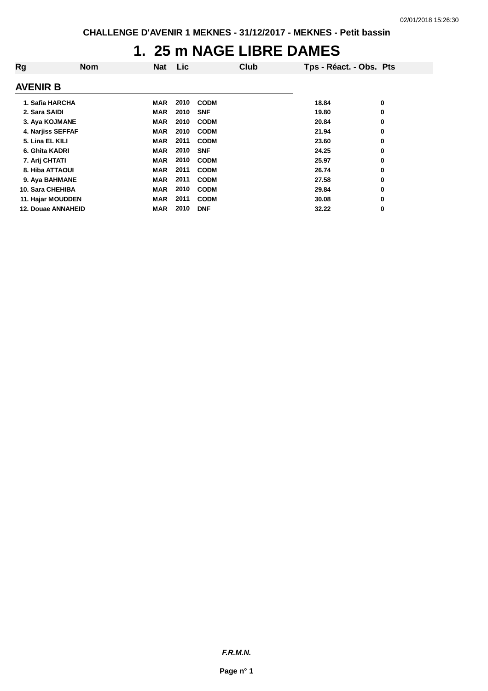### **1. 25 m NAGE LIBRE DAMES**

| Rg                        | <b>Nom</b> | <b>Nat</b> | <b>Lic</b> |             | Club | Tps - Réact. - Obs. Pts |   |
|---------------------------|------------|------------|------------|-------------|------|-------------------------|---|
|                           |            |            |            |             |      |                         |   |
| <b>AVENIR B</b>           |            |            |            |             |      |                         |   |
| 1. Safia HARCHA           |            | <b>MAR</b> | 2010       | <b>CODM</b> |      | 18.84                   | 0 |
| 2. Sara SAIDI             |            | <b>MAR</b> | 2010       | <b>SNF</b>  |      | 19.80                   | 0 |
| 3. Aya KOJMANE            |            | <b>MAR</b> | 2010       | <b>CODM</b> |      | 20.84                   | 0 |
| 4. Narjiss SEFFAF         |            | <b>MAR</b> | 2010       | <b>CODM</b> |      | 21.94                   | 0 |
| 5. Lina EL KILI           |            | <b>MAR</b> | 2011       | <b>CODM</b> |      | 23.60                   | 0 |
| 6. Ghita KADRI            |            | <b>MAR</b> | 2010       | <b>SNF</b>  |      | 24.25                   | 0 |
| 7. Arij CHTATI            |            | <b>MAR</b> | 2010       | <b>CODM</b> |      | 25.97                   | 0 |
| 8. Hiba ATTAOUI           |            | <b>MAR</b> | 2011       | <b>CODM</b> |      | 26.74                   | 0 |
| 9. Aya BAHMANE            |            | <b>MAR</b> | 2011       | <b>CODM</b> |      | 27.58                   | 0 |
| 10. Sara CHEHIBA          |            | <b>MAR</b> | 2010       | <b>CODM</b> |      | 29.84                   | 0 |
| 11. Hajar MOUDDEN         |            | <b>MAR</b> | 2011       | <b>CODM</b> |      | 30.08                   | 0 |
| <b>12. Douae ANNAHEID</b> |            | <b>MAR</b> | 2010       | <b>DNF</b>  |      | 32.22                   | 0 |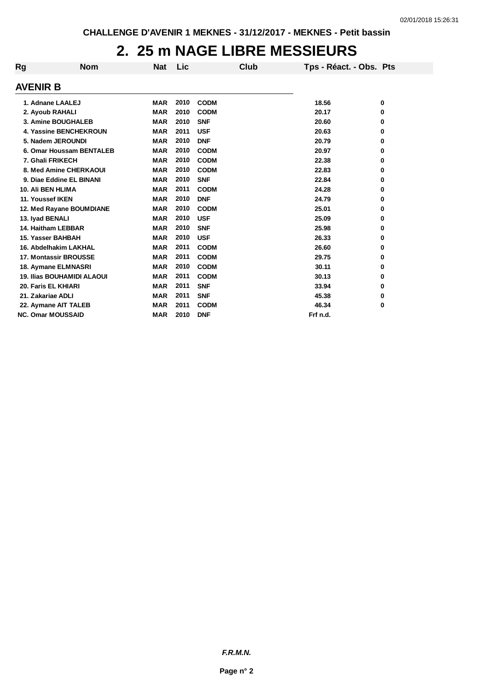### **2. 25 m NAGE LIBRE MESSIEURS**

| Rg | <b>Nom</b>                        | <b>Nat</b> | Lic  | Club        | Tps - Réact. - Obs. Pts |   |
|----|-----------------------------------|------------|------|-------------|-------------------------|---|
|    | <b>AVENIR B</b>                   |            |      |             |                         |   |
|    | 1. Adnane LAALEJ                  | <b>MAR</b> | 2010 | <b>CODM</b> | 18.56                   | 0 |
|    | 2. Ayoub RAHALI                   | <b>MAR</b> | 2010 | <b>CODM</b> | 20.17                   | 0 |
|    | 3. Amine BOUGHALEB                | <b>MAR</b> | 2010 | <b>SNF</b>  | 20.60                   | 0 |
|    | 4. Yassine BENCHEKROUN            | <b>MAR</b> | 2011 | <b>USF</b>  | 20.63                   | 0 |
|    | 5. Nadem JEROUNDI                 | <b>MAR</b> | 2010 | <b>DNF</b>  | 20.79                   | 0 |
|    | 6. Omar Houssam BENTALEB          | <b>MAR</b> | 2010 | <b>CODM</b> | 20.97                   | 0 |
|    | 7. Ghali FRIKECH                  | <b>MAR</b> | 2010 | <b>CODM</b> | 22.38                   | 0 |
|    | 8. Med Amine CHERKAOUI            | <b>MAR</b> | 2010 | <b>CODM</b> | 22.83                   | 0 |
|    | 9. Diae Eddine EL BINANI          | <b>MAR</b> | 2010 | <b>SNF</b>  | 22.84                   | 0 |
|    | 10. Ali BEN HLIMA                 | <b>MAR</b> | 2011 | <b>CODM</b> | 24.28                   | 0 |
|    | 11. Youssef IKEN                  | <b>MAR</b> | 2010 | <b>DNF</b>  | 24.79                   | 0 |
|    | 12. Med Rayane BOUMDIANE          | <b>MAR</b> | 2010 | <b>CODM</b> | 25.01                   | 0 |
|    | 13. Iyad BENALI                   | <b>MAR</b> | 2010 | <b>USF</b>  | 25.09                   | 0 |
|    | 14. Haitham LEBBAR                | <b>MAR</b> | 2010 | <b>SNF</b>  | 25.98                   | 0 |
|    | 15. Yasser BAHBAH                 | <b>MAR</b> | 2010 | <b>USF</b>  | 26.33                   | 0 |
|    | 16. Abdelhakim LAKHAL             | <b>MAR</b> | 2011 | <b>CODM</b> | 26.60                   | 0 |
|    | <b>17. Montassir BROUSSE</b>      | <b>MAR</b> | 2011 | <b>CODM</b> | 29.75                   | 0 |
|    | 18. Aymane ELMNASRI               | <b>MAR</b> | 2010 | <b>CODM</b> | 30.11                   | 0 |
|    | <b>19. Ilias BOUHAMIDI ALAOUI</b> | <b>MAR</b> | 2011 | <b>CODM</b> | 30.13                   | 0 |
|    | 20. Faris EL KHIARI               | <b>MAR</b> | 2011 | <b>SNF</b>  | 33.94                   | 0 |
|    | 21. Zakariae ADLI                 | <b>MAR</b> | 2011 | <b>SNF</b>  | 45.38                   | 0 |
|    | 22. Aymane AIT TALEB              | <b>MAR</b> | 2011 | <b>CODM</b> | 46.34                   | 0 |
|    | <b>NC. Omar MOUSSAID</b>          | <b>MAR</b> | 2010 | <b>DNF</b>  | Frf n.d.                |   |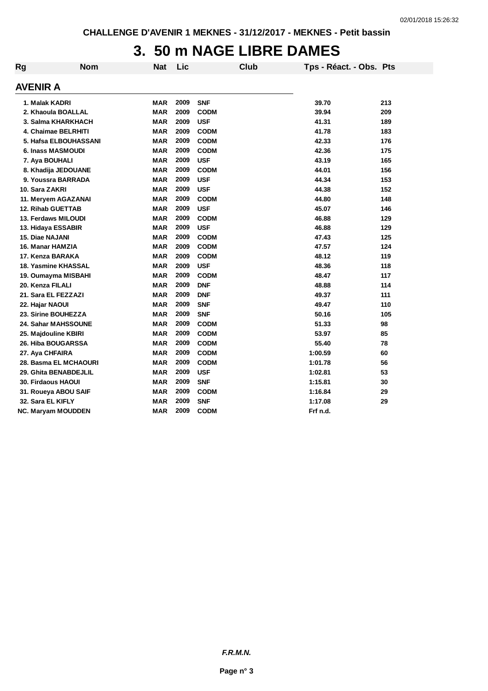### **3. 50 m NAGE LIBRE DAMES**

| Rg | <b>Nom</b>                 | <b>Nat</b> | Lic  | <b>Club</b> | Tps - Réact. - Obs. Pts |     |
|----|----------------------------|------------|------|-------------|-------------------------|-----|
|    | AVENIR A                   |            |      |             |                         |     |
|    | 1. Malak KADRI             | <b>MAR</b> | 2009 | <b>SNF</b>  | 39.70                   | 213 |
|    | 2. Khaoula BOALLAL         | <b>MAR</b> | 2009 | <b>CODM</b> | 39.94                   | 209 |
|    | 3. Salma KHARKHACH         | <b>MAR</b> | 2009 | <b>USF</b>  | 41.31                   | 189 |
|    | 4. Chaimae BELRHITI        | <b>MAR</b> | 2009 | <b>CODM</b> | 41.78                   | 183 |
|    | 5. Hafsa ELBOUHASSANI      | <b>MAR</b> | 2009 | <b>CODM</b> | 42.33                   | 176 |
|    | 6. Inass MASMOUDI          | <b>MAR</b> | 2009 | <b>CODM</b> | 42.36                   | 175 |
|    | 7. Aya BOUHALI             | <b>MAR</b> | 2009 | <b>USF</b>  | 43.19                   | 165 |
|    | 8. Khadija JEDOUANE        | <b>MAR</b> | 2009 | <b>CODM</b> | 44.01                   | 156 |
|    | 9. Youssra BARRADA         | <b>MAR</b> | 2009 | <b>USF</b>  | 44.34                   | 153 |
|    | 10. Sara ZAKRI             | <b>MAR</b> | 2009 | <b>USF</b>  | 44.38                   | 152 |
|    | 11. Meryem AGAZANAI        | <b>MAR</b> | 2009 | <b>CODM</b> | 44.80                   | 148 |
|    | <b>12. Rihab GUETTAB</b>   | <b>MAR</b> | 2009 | <b>USF</b>  | 45.07                   | 146 |
|    | 13. Ferdaws MILOUDI        | <b>MAR</b> | 2009 | <b>CODM</b> | 46.88                   | 129 |
|    | 13. Hidaya ESSABIR         | <b>MAR</b> | 2009 | <b>USF</b>  | 46.88                   | 129 |
|    | <b>15. Diae NAJANI</b>     | <b>MAR</b> | 2009 | <b>CODM</b> | 47.43                   | 125 |
|    | 16. Manar HAMZIA           | <b>MAR</b> | 2009 | <b>CODM</b> | 47.57                   | 124 |
|    | 17. Kenza BARAKA           | <b>MAR</b> | 2009 | <b>CODM</b> | 48.12                   | 119 |
|    | 18. Yasmine KHASSAL        | <b>MAR</b> | 2009 | <b>USF</b>  | 48.36                   | 118 |
|    | 19. Oumayma MISBAHI        | <b>MAR</b> | 2009 | <b>CODM</b> | 48.47                   | 117 |
|    | 20. Kenza FILALI           | <b>MAR</b> | 2009 | <b>DNF</b>  | 48.88                   | 114 |
|    | 21. Sara EL FEZZAZI        | <b>MAR</b> | 2009 | <b>DNF</b>  | 49.37                   | 111 |
|    | 22. Hajar NAOUI            | <b>MAR</b> | 2009 | <b>SNF</b>  | 49.47                   | 110 |
|    | 23. Sirine BOUHEZZA        | <b>MAR</b> | 2009 | <b>SNF</b>  | 50.16                   | 105 |
|    | <b>24. Sahar MAHSSOUNE</b> | <b>MAR</b> | 2009 | <b>CODM</b> | 51.33                   | 98  |
|    | 25. Majdouline KBIRI       | <b>MAR</b> | 2009 | <b>CODM</b> | 53.97                   | 85  |
|    | 26. Hiba BOUGARSSA         | <b>MAR</b> | 2009 | <b>CODM</b> | 55.40                   | 78  |
|    | 27. Aya CHFAIRA            | <b>MAR</b> | 2009 | <b>CODM</b> | 1:00.59                 | 60  |
|    | 28. Basma EL MCHAOURI      | <b>MAR</b> | 2009 | <b>CODM</b> | 1:01.78                 | 56  |
|    | 29. Ghita BENABDEJLIL      | <b>MAR</b> | 2009 | <b>USF</b>  | 1:02.81                 | 53  |
|    | <b>30. Firdaous HAOUI</b>  | <b>MAR</b> | 2009 | <b>SNF</b>  | 1:15.81                 | 30  |
|    | 31. Roueya ABOU SAIF       | <b>MAR</b> | 2009 | <b>CODM</b> | 1:16.84                 | 29  |
|    | 32. Sara EL KIFLY          | <b>MAR</b> | 2009 | <b>SNF</b>  | 1:17.08                 | 29  |
|    | NC. Maryam MOUDDEN         | <b>MAR</b> | 2009 | <b>CODM</b> | Frf n.d.                |     |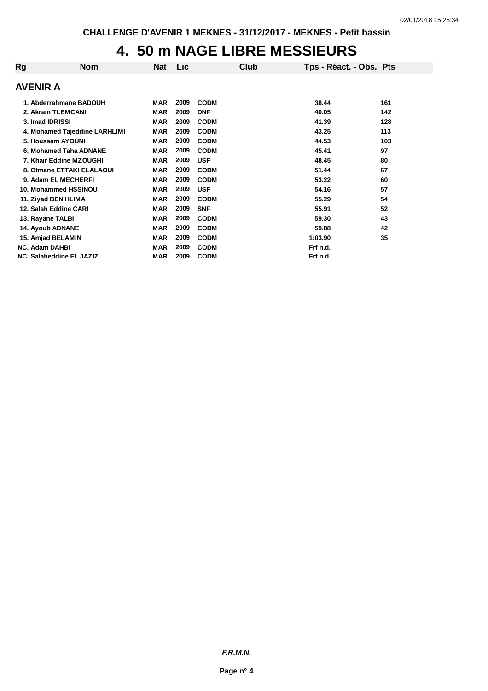### **4. 50 m NAGE LIBRE MESSIEURS**

| Rg<br>Club<br><b>Lic</b><br><b>Nom</b><br><b>Nat</b><br>Tps - Réact. - Obs. Pts |     |
|---------------------------------------------------------------------------------|-----|
| <b>AVENIR A</b>                                                                 |     |
| 2009<br>1. Abderrahmane BADOUH<br><b>CODM</b><br>MAR<br>38.44                   | 161 |
| 2009<br>2. Akram TLEMCANI<br><b>MAR</b><br><b>DNF</b><br>40.05                  | 142 |
| 3. Imad IDRISSI<br>2009<br><b>MAR</b><br><b>CODM</b><br>41.39                   | 128 |
| 2009<br><b>MAR</b><br><b>CODM</b><br>4. Mohamed Tajeddine LARHLIMI<br>43.25     | 113 |
| 2009<br>5. Houssam AYOUNI<br><b>MAR</b><br><b>CODM</b><br>44.53                 | 103 |
| 2009<br>6. Mohamed Taha ADNANE<br><b>MAR</b><br><b>CODM</b><br>45.41            | 97  |
| 2009<br><b>USF</b><br>7. Khair Eddine MZOUGHI<br><b>MAR</b><br>48.45            | 80  |
| 2009<br>8. Otmane ETTAKI ELALAOUI<br><b>MAR</b><br><b>CODM</b><br>51.44         | 67  |
| 2009<br><b>MAR</b><br>9. Adam EL MECHERFI<br><b>CODM</b><br>53.22               | 60  |
| 2009<br><b>USF</b><br>54.16<br>10. Mohammed HSSINOU<br><b>MAR</b>               | 57  |
| 2009<br><b>CODM</b><br>11. Ziyad BEN HLIMA<br><b>MAR</b><br>55.29               | 54  |
| 2009<br>12. Salah Eddine CARI<br><b>MAR</b><br><b>SNF</b><br>55.91              | 52  |
| 2009<br><b>MAR</b><br><b>CODM</b><br>13. Rayane TALBI<br>59.30                  | 43  |
| 2009<br><b>14. Ayoub ADNANE</b><br><b>MAR</b><br><b>CODM</b><br>59.88           | 42  |
| 2009<br><b>CODM</b><br>1:03.90<br>15. Amjad BELAMIN<br><b>MAR</b>               | 35  |
| 2009<br><b>MAR</b><br><b>CODM</b><br>Frf n.d.<br><b>NC. Adam DAHBI</b>          |     |
| NC. Salaheddine EL JAZIZ<br>2009<br>Frf n.d.<br><b>MAR</b><br><b>CODM</b>       |     |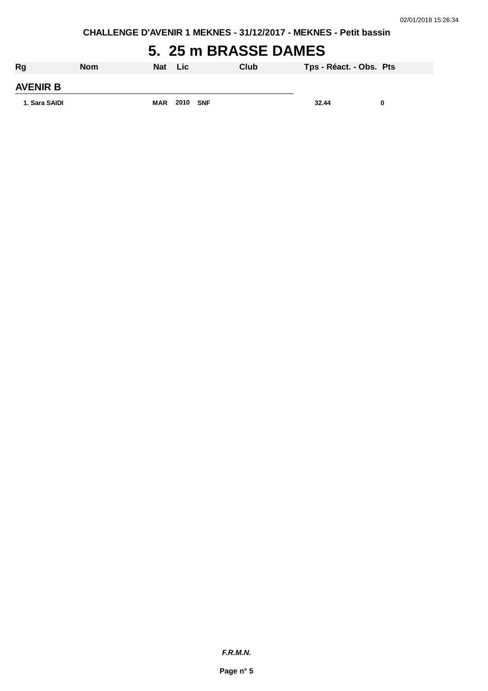**CHALLENGE D'AVENIR 1 MEKNES - 31/12/2017 - MEKNES - Petit bassin**

### **5. 25 m BRASSE DAMES**

| <b>Rg</b>       | <b>Nom</b> | Nat        | Lic  |     | Club | Tps - Réact. - Obs. Pts |  |
|-----------------|------------|------------|------|-----|------|-------------------------|--|
| <b>AVENIR B</b> |            |            |      |     |      |                         |  |
| 1. Sara SAIDI   |            | <b>MAR</b> | 2010 | SNF |      | 32.44                   |  |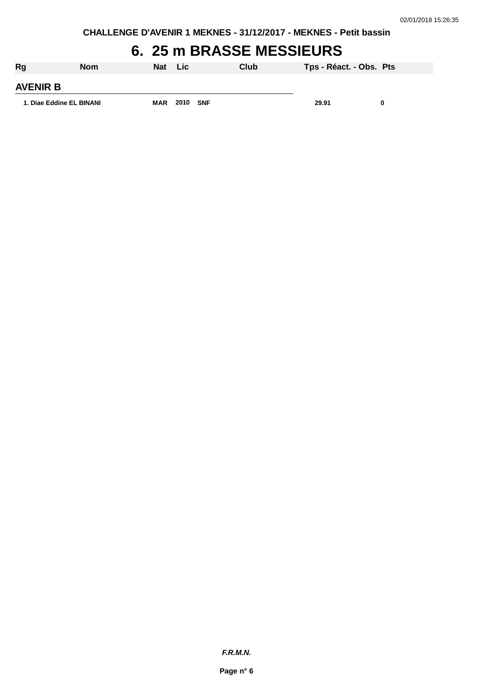**CHALLENGE D'AVENIR 1 MEKNES - 31/12/2017 - MEKNES - Petit bassin**

## **6. 25 m BRASSE MESSIEURS**

| Rg                       | <b>Nom</b> | Nat        | <b>Lic</b> | Club | Tps - Réact. - Obs. Pts |  |
|--------------------------|------------|------------|------------|------|-------------------------|--|
| <b>AVENIR B</b>          |            |            |            |      |                         |  |
| 1. Diae Eddine EL BINANI |            | <b>MAR</b> | 2010 SNF   |      | 29.91                   |  |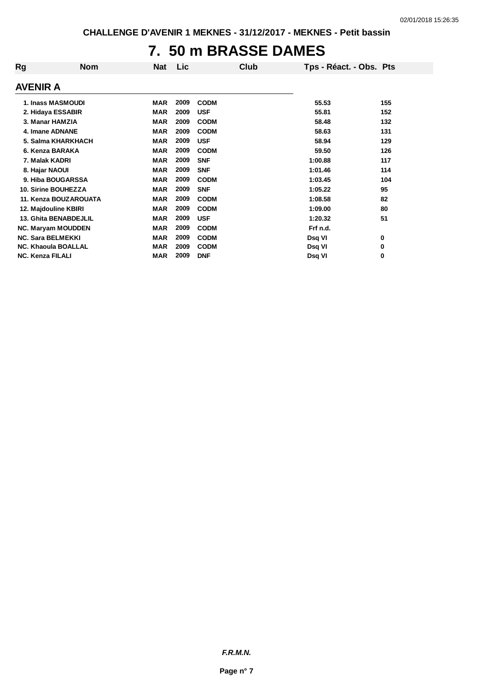### **7. 50 m BRASSE DAMES**

| Rg              | <b>Nom</b>                   | <b>Nat</b> | Lic  | Club        | Tps - Réact. - Obs. Pts |     |
|-----------------|------------------------------|------------|------|-------------|-------------------------|-----|
| <b>AVENIR A</b> |                              |            |      |             |                         |     |
|                 | 1. Inass MASMOUDI            | <b>MAR</b> | 2009 | <b>CODM</b> | 55.53                   | 155 |
|                 | 2. Hidaya ESSABIR            | <b>MAR</b> | 2009 | <b>USF</b>  | 55.81                   | 152 |
|                 | 3. Manar HAMZIA              | <b>MAR</b> | 2009 | <b>CODM</b> | 58.48                   | 132 |
|                 | 4. Imane ADNANE              | <b>MAR</b> | 2009 | <b>CODM</b> | 58.63                   | 131 |
|                 | 5. Salma KHARKHACH           | <b>MAR</b> | 2009 | <b>USF</b>  | 58.94                   | 129 |
|                 | 6. Kenza BARAKA              | <b>MAR</b> | 2009 | <b>CODM</b> | 59.50                   | 126 |
|                 | 7. Malak KADRI               | <b>MAR</b> | 2009 | <b>SNF</b>  | 1:00.88                 | 117 |
|                 | 8. Hajar NAOUI               | <b>MAR</b> | 2009 | <b>SNF</b>  | 1:01.46                 | 114 |
|                 | 9. Hiba BOUGARSSA            | <b>MAR</b> | 2009 | <b>CODM</b> | 1:03.45                 | 104 |
|                 | <b>10. Sirine BOUHEZZA</b>   | <b>MAR</b> | 2009 | <b>SNF</b>  | 1:05.22                 | 95  |
|                 | 11. Kenza BOUZAROUATA        | <b>MAR</b> | 2009 | <b>CODM</b> | 1:08.58                 | 82  |
|                 | 12. Majdouline KBIRI         | <b>MAR</b> | 2009 | <b>CODM</b> | 1:09.00                 | 80  |
|                 | <b>13. Ghita BENABDEJLIL</b> | <b>MAR</b> | 2009 | <b>USF</b>  | 1:20.32                 | 51  |
|                 | NC. Maryam MOUDDEN           | <b>MAR</b> | 2009 | <b>CODM</b> | Frf n.d.                |     |
|                 | <b>NC. Sara BELMEKKI</b>     | <b>MAR</b> | 2009 | <b>CODM</b> | Dsq VI                  | 0   |
|                 | <b>NC. Khaoula BOALLAL</b>   | <b>MAR</b> | 2009 | <b>CODM</b> | Dsq VI                  | 0   |
|                 | <b>NC. Kenza FILALI</b>      | <b>MAR</b> | 2009 | <b>DNF</b>  | Dsq VI                  | 0   |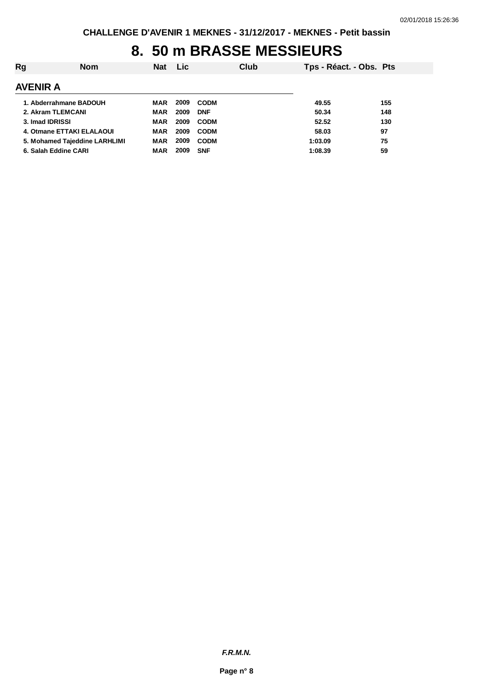# **8. 50 m BRASSE MESSIEURS**

| Rg              | <b>Nom</b>                    | <b>Nat</b> | Lic. |             | Club | Tps - Réact. - Obs. Pts |     |
|-----------------|-------------------------------|------------|------|-------------|------|-------------------------|-----|
| AVENIR A        |                               |            |      |             |      |                         |     |
|                 | 1. Abderrahmane BADOUH        | <b>MAR</b> | 2009 | <b>CODM</b> |      | 49.55                   | 155 |
|                 | 2. Akram TLEMCANI             | MAR        | 2009 | <b>DNF</b>  |      | 50.34                   | 148 |
| 3. Imad IDRISSI |                               | MAR        | 2009 | <b>CODM</b> |      | 52.52                   | 130 |
|                 | 4. Otmane ETTAKI ELALAOUI     | MAR        | 2009 | <b>CODM</b> |      | 58.03                   | 97  |
|                 | 5. Mohamed Tajeddine LARHLIMI | <b>MAR</b> | 2009 | <b>CODM</b> |      | 1:03.09                 | 75  |
|                 | 6. Salah Eddine CARI          | <b>MAR</b> | 2009 | <b>SNF</b>  |      | 1:08.39                 | 59  |
|                 |                               |            |      |             |      |                         |     |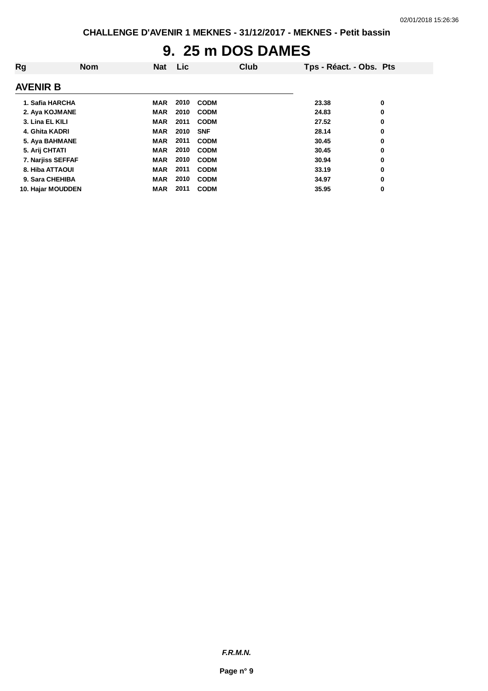# **9. 25 m DOS DAMES**

| Rg                | <b>Nom</b> | <b>Nat</b> | Lic  |             | Club | Tps - Réact. - Obs. Pts |   |
|-------------------|------------|------------|------|-------------|------|-------------------------|---|
| <b>AVENIR B</b>   |            |            |      |             |      |                         |   |
| 1. Safia HARCHA   |            | <b>MAR</b> | 2010 | <b>CODM</b> |      | 23.38                   | 0 |
| 2. Aya KOJMANE    |            | <b>MAR</b> | 2010 | <b>CODM</b> |      | 24.83                   | 0 |
| 3. Lina EL KILI   |            | <b>MAR</b> | 2011 | <b>CODM</b> |      | 27.52                   | 0 |
| 4. Ghita KADRI    |            | <b>MAR</b> | 2010 | <b>SNF</b>  |      | 28.14                   | 0 |
| 5. Aya BAHMANE    |            | <b>MAR</b> | 2011 | <b>CODM</b> |      | 30.45                   | 0 |
| 5. Arij CHTATI    |            | <b>MAR</b> | 2010 | <b>CODM</b> |      | 30.45                   | 0 |
| 7. Narjiss SEFFAF |            | <b>MAR</b> | 2010 | <b>CODM</b> |      | 30.94                   | 0 |
| 8. Hiba ATTAOUI   |            | <b>MAR</b> | 2011 | <b>CODM</b> |      | 33.19                   | 0 |
| 9. Sara CHEHIBA   |            | <b>MAR</b> | 2010 | <b>CODM</b> |      | 34.97                   | 0 |
| 10. Hajar MOUDDEN |            | <b>MAR</b> | 2011 | <b>CODM</b> |      | 35.95                   | 0 |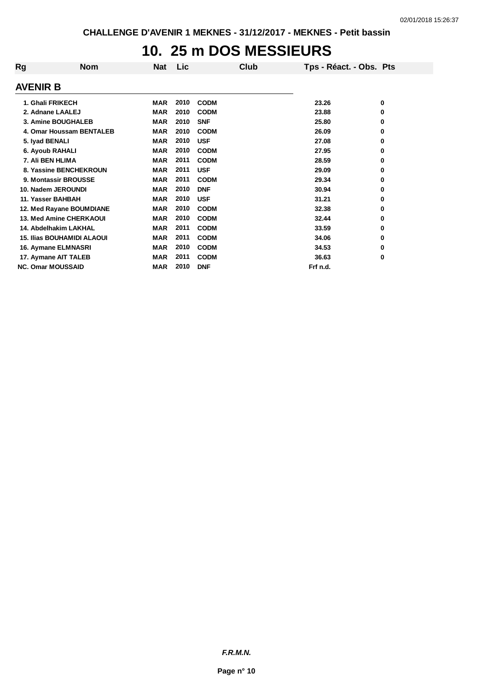# **10. 25 m DOS MESSIEURS**

| Rg              | <b>Nom</b>                        | <b>Nat</b> | Lic  |             | Club | Tps - Réact. - Obs. Pts |          |
|-----------------|-----------------------------------|------------|------|-------------|------|-------------------------|----------|
| <b>AVENIR B</b> |                                   |            |      |             |      |                         |          |
|                 | 1. Ghali FRIKECH                  | <b>MAR</b> | 2010 | <b>CODM</b> |      | 23.26                   | 0        |
|                 | 2. Adnane LAALEJ                  | <b>MAR</b> | 2010 | <b>CODM</b> |      | 23.88                   | 0        |
|                 | 3. Amine BOUGHALEB                | <b>MAR</b> | 2010 | <b>SNF</b>  |      | 25.80                   | 0        |
|                 | 4. Omar Houssam BENTALEB          | <b>MAR</b> | 2010 | <b>CODM</b> |      | 26.09                   | 0        |
|                 | 5. Iyad BENALI                    | <b>MAR</b> | 2010 | <b>USF</b>  |      | 27.08                   | $\bf{0}$ |
|                 | 6. Ayoub RAHALI                   | <b>MAR</b> | 2010 | <b>CODM</b> |      | 27.95                   | 0        |
|                 | 7. Ali BEN HLIMA                  | <b>MAR</b> | 2011 | <b>CODM</b> |      | 28.59                   | 0        |
|                 | 8. Yassine BENCHEKROUN            | <b>MAR</b> | 2011 | <b>USF</b>  |      | 29.09                   | 0        |
|                 | 9. Montassir BROUSSE              | <b>MAR</b> | 2011 | <b>CODM</b> |      | 29.34                   | 0        |
|                 | 10. Nadem JEROUNDI                | <b>MAR</b> | 2010 | <b>DNF</b>  |      | 30.94                   | 0        |
|                 | 11. Yasser BAHBAH                 | <b>MAR</b> | 2010 | <b>USF</b>  |      | 31.21                   | 0        |
|                 | 12. Med Rayane BOUMDIANE          | <b>MAR</b> | 2010 | <b>CODM</b> |      | 32.38                   | 0        |
|                 | 13. Med Amine CHERKAOUI           | <b>MAR</b> | 2010 | <b>CODM</b> |      | 32.44                   | 0        |
|                 | 14. Abdelhakim LAKHAL             | <b>MAR</b> | 2011 | <b>CODM</b> |      | 33.59                   | 0        |
|                 | <b>15. Ilias BOUHAMIDI ALAOUI</b> | <b>MAR</b> | 2011 | <b>CODM</b> |      | 34.06                   | 0        |
|                 | 16. Aymane ELMNASRI               | <b>MAR</b> | 2010 | <b>CODM</b> |      | 34.53                   | 0        |
|                 | 17. Aymane AIT TALEB              | <b>MAR</b> | 2011 | <b>CODM</b> |      | 36.63                   | 0        |
|                 | <b>NC. Omar MOUSSAID</b>          | <b>MAR</b> | 2010 | <b>DNF</b>  |      | Frf n.d.                |          |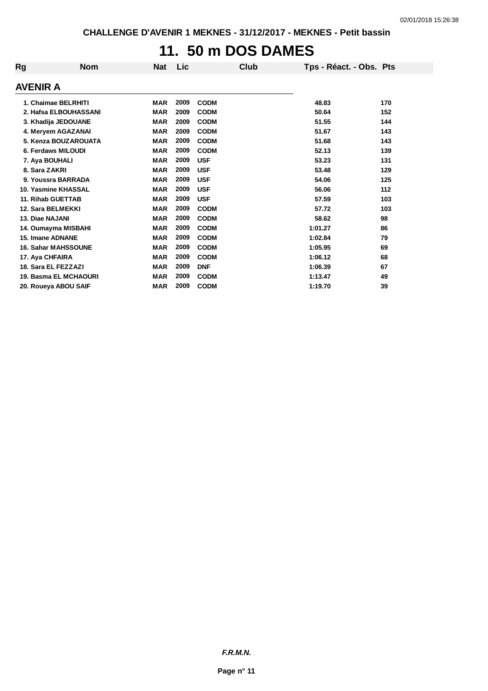# **11. 50 m DOS DAMES**

| Rg                           | <b>Nom</b> | <b>Nat</b> | Lic  | Club        | Tps - Réact. - Obs. Pts |     |
|------------------------------|------------|------------|------|-------------|-------------------------|-----|
| <b>AVENIR A</b>              |            |            |      |             |                         |     |
| 1. Chaimae BELRHITI          |            | <b>MAR</b> | 2009 | <b>CODM</b> | 48.83                   | 170 |
| 2. Hafsa ELBOUHASSANI        |            | <b>MAR</b> | 2009 | <b>CODM</b> | 50.64                   | 152 |
| 3. Khadija JEDOUANE          |            | <b>MAR</b> | 2009 | <b>CODM</b> | 51.55                   | 144 |
| 4. Meryem AGAZANAI           |            | <b>MAR</b> | 2009 | <b>CODM</b> | 51.67                   | 143 |
| 5. Kenza BOUZAROUATA         |            | <b>MAR</b> | 2009 | <b>CODM</b> | 51.68                   | 143 |
| 6. Ferdaws MILOUDI           |            | <b>MAR</b> | 2009 | <b>CODM</b> | 52.13                   | 139 |
| 7. Aya BOUHALI               |            | <b>MAR</b> | 2009 | <b>USF</b>  | 53.23                   | 131 |
| 8. Sara ZAKRI                |            | <b>MAR</b> | 2009 | <b>USF</b>  | 53.48                   | 129 |
| 9. Youssra BARRADA           |            | <b>MAR</b> | 2009 | <b>USF</b>  | 54.06                   | 125 |
| 10. Yasmine KHASSAL          |            | <b>MAR</b> | 2009 | <b>USF</b>  | 56.06                   | 112 |
| 11. Rihab GUETTAB            |            | <b>MAR</b> | 2009 | <b>USF</b>  | 57.59                   | 103 |
| 12. Sara BELMEKKI            |            | <b>MAR</b> | 2009 | <b>CODM</b> | 57.72                   | 103 |
| 13. Diae NAJANI              |            | <b>MAR</b> | 2009 | <b>CODM</b> | 58.62                   | 98  |
| 14. Oumayma MISBAHI          |            | <b>MAR</b> | 2009 | <b>CODM</b> | 1:01.27                 | 86  |
| 15. Imane ADNANE             |            | <b>MAR</b> | 2009 | <b>CODM</b> | 1:02.84                 | 79  |
| <b>16. Sahar MAHSSOUNE</b>   |            | <b>MAR</b> | 2009 | <b>CODM</b> | 1:05.95                 | 69  |
| 17. Aya CHFAIRA              |            | <b>MAR</b> | 2009 | <b>CODM</b> | 1:06.12                 | 68  |
| 18. Sara EL FEZZAZI          |            | <b>MAR</b> | 2009 | <b>DNF</b>  | 1:06.39                 | 67  |
| <b>19. Basma EL MCHAOURI</b> |            | <b>MAR</b> | 2009 | <b>CODM</b> | 1:13.47                 | 49  |
| 20. Roueya ABOU SAIF         |            | <b>MAR</b> | 2009 | <b>CODM</b> | 1:19.70                 | 39  |

*F.R.M.N.*

**Page n° 11**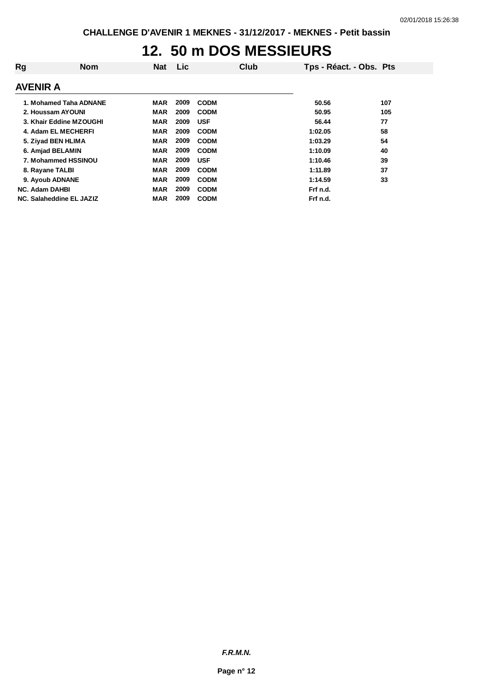### **12. 50 m DOS MESSIEURS**

| Rg | <b>Nom</b>               | <b>Nat</b> | Lic  |             | Club | Tps - Réact. - Obs. Pts |     |
|----|--------------------------|------------|------|-------------|------|-------------------------|-----|
|    | <b>AVENIR A</b>          |            |      |             |      |                         |     |
|    | 1. Mohamed Taha ADNANE   | MAR        | 2009 | <b>CODM</b> |      | 50.56                   | 107 |
|    | 2. Houssam AYOUNI        | MAR        | 2009 | <b>CODM</b> |      | 50.95                   | 105 |
|    | 3. Khair Eddine MZOUGHI  | MAR        | 2009 | <b>USF</b>  |      | 56.44                   | 77  |
|    | 4. Adam EL MECHERFI      | MAR        | 2009 | <b>CODM</b> |      | 1:02.05                 | 58  |
|    | 5. Ziyad BEN HLIMA       | MAR        | 2009 | <b>CODM</b> |      | 1:03.29                 | 54  |
|    | 6. Amjad BELAMIN         | MAR        | 2009 | <b>CODM</b> |      | 1:10.09                 | 40  |
|    | 7. Mohammed HSSINOU      | <b>MAR</b> | 2009 | <b>USF</b>  |      | 1:10.46                 | 39  |
|    | 8. Rayane TALBI          | MAR        | 2009 | <b>CODM</b> |      | 1:11.89                 | 37  |
|    | 9. Ayoub ADNANE          | MAR        | 2009 | <b>CODM</b> |      | 1:14.59                 | 33  |
|    | <b>NC. Adam DAHBI</b>    | MAR        | 2009 | <b>CODM</b> |      | Frf n.d.                |     |
|    | NC. Salaheddine EL JAZIZ | MAR        | 2009 | <b>CODM</b> |      | Frf n.d.                |     |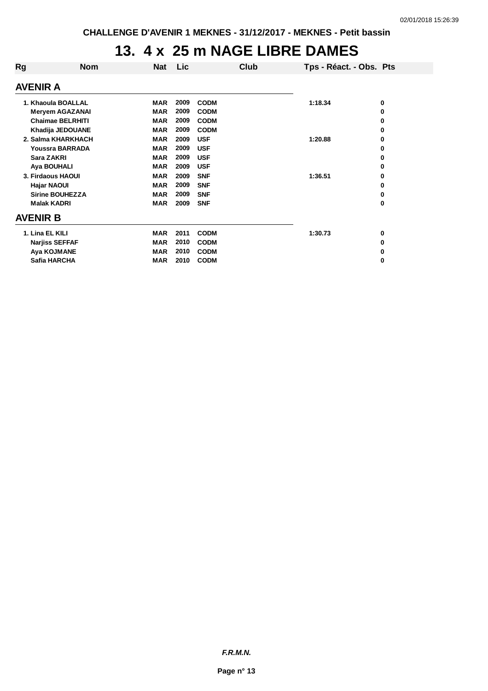### **13. 4 x 25 m NAGE LIBRE DAMES**

| Rg                                                                      | <b>Nom</b>             | <b>Nat</b> | Lic  | Club        | Tps - Réact. - Obs. Pts |   |
|-------------------------------------------------------------------------|------------------------|------------|------|-------------|-------------------------|---|
|                                                                         | AVENIR A               |            |      |             |                         |   |
| 1. Khaoula BOALLAL<br><b>Meryem AGAZANAI</b><br><b>Chaimae BELRHITI</b> |                        | <b>MAR</b> | 2009 | <b>CODM</b> | 1:18.34                 | 0 |
|                                                                         |                        | <b>MAR</b> | 2009 | <b>CODM</b> |                         | 0 |
|                                                                         |                        | <b>MAR</b> | 2009 | <b>CODM</b> |                         | 0 |
| Khadija JEDOUANE                                                        |                        | <b>MAR</b> | 2009 | <b>CODM</b> |                         | 0 |
|                                                                         | 2. Salma KHARKHACH     | <b>MAR</b> | 2009 | <b>USF</b>  | 1:20.88                 | 0 |
|                                                                         | <b>Youssra BARRADA</b> | <b>MAR</b> | 2009 | <b>USF</b>  |                         | 0 |
|                                                                         | Sara ZAKRI             | <b>MAR</b> | 2009 | <b>USF</b>  |                         | 0 |
|                                                                         | Aya BOUHALI            | <b>MAR</b> | 2009 | <b>USF</b>  |                         | 0 |
|                                                                         | 3. Firdaous HAOUI      | <b>MAR</b> | 2009 | <b>SNF</b>  | 1:36.51                 | 0 |
|                                                                         | <b>Hajar NAOUI</b>     | <b>MAR</b> | 2009 | <b>SNF</b>  |                         | 0 |
|                                                                         | <b>Sirine BOUHEZZA</b> | <b>MAR</b> | 2009 | <b>SNF</b>  |                         | 0 |
|                                                                         | <b>Malak KADRI</b>     | <b>MAR</b> | 2009 | <b>SNF</b>  |                         | 0 |
|                                                                         | AVENIR B               |            |      |             |                         |   |
|                                                                         | 1. Lina EL KILI        | <b>MAR</b> | 2011 | <b>CODM</b> | 1:30.73                 | 0 |
|                                                                         | <b>Narjiss SEFFAF</b>  | <b>MAR</b> | 2010 | <b>CODM</b> |                         | 0 |
|                                                                         | Aya KOJMANE            | <b>MAR</b> | 2010 | <b>CODM</b> |                         | 0 |
|                                                                         | Safia HARCHA           | <b>MAR</b> | 2010 | <b>CODM</b> |                         | 0 |
|                                                                         |                        |            |      |             |                         |   |